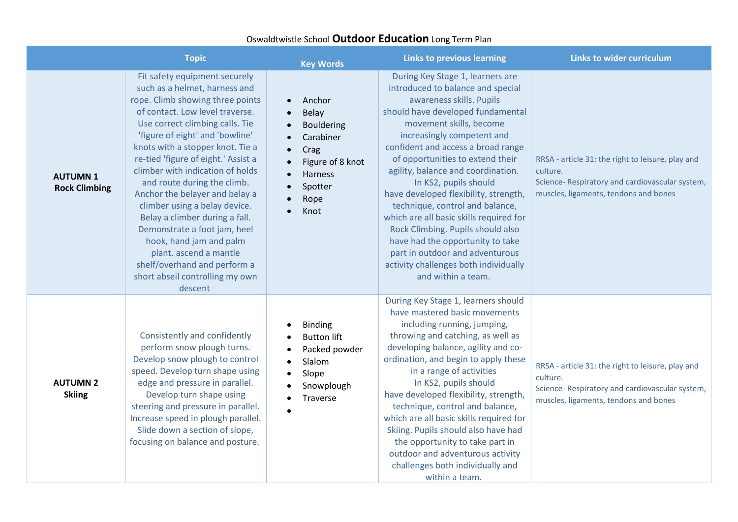## Oswaldtwistle School **Outdoor Education** Long Term Plan

|                                        | <b>Topic</b>                                                                                                                                                                                                                                                                                                                                                                                                                                                                                                                                                                                                                      | <b>Key Words</b>                                                                                                                                                                                  | <b>Links to previous learning</b>                                                                                                                                                                                                                                                                                                                                                                                                                                                                                                                                                                                                          | <b>Links to wider curriculum</b>                                                                                                                         |
|----------------------------------------|-----------------------------------------------------------------------------------------------------------------------------------------------------------------------------------------------------------------------------------------------------------------------------------------------------------------------------------------------------------------------------------------------------------------------------------------------------------------------------------------------------------------------------------------------------------------------------------------------------------------------------------|---------------------------------------------------------------------------------------------------------------------------------------------------------------------------------------------------|--------------------------------------------------------------------------------------------------------------------------------------------------------------------------------------------------------------------------------------------------------------------------------------------------------------------------------------------------------------------------------------------------------------------------------------------------------------------------------------------------------------------------------------------------------------------------------------------------------------------------------------------|----------------------------------------------------------------------------------------------------------------------------------------------------------|
| <b>AUTUMN1</b><br><b>Rock Climbing</b> | Fit safety equipment securely<br>such as a helmet, harness and<br>rope. Climb showing three points<br>of contact. Low level traverse.<br>Use correct climbing calls. Tie<br>'figure of eight' and 'bowline'<br>knots with a stopper knot. Tie a<br>re-tied 'figure of eight.' Assist a<br>climber with indication of holds<br>and route during the climb.<br>Anchor the belayer and belay a<br>climber using a belay device.<br>Belay a climber during a fall.<br>Demonstrate a foot jam, heel<br>hook, hand jam and palm<br>plant. ascend a mantle<br>shelf/overhand and perform a<br>short abseil controlling my own<br>descent | Anchor<br>$\bullet$<br>Belay<br>$\bullet$<br><b>Bouldering</b><br>Carabiner<br>Crag<br>$\bullet$<br>Figure of 8 knot<br>Harness<br>$\bullet$<br>Spotter<br>$\bullet$<br>Rope<br>$\bullet$<br>Knot | During Key Stage 1, learners are<br>introduced to balance and special<br>awareness skills. Pupils<br>should have developed fundamental<br>movement skills, become<br>increasingly competent and<br>confident and access a broad range<br>of opportunities to extend their<br>agility, balance and coordination.<br>In KS2, pupils should<br>have developed flexibility, strength,<br>technique, control and balance,<br>which are all basic skills required for<br>Rock Climbing. Pupils should also<br>have had the opportunity to take<br>part in outdoor and adventurous<br>activity challenges both individually<br>and within a team. | RRSA - article 31: the right to leisure, play and<br>culture.<br>Science-Respiratory and cardiovascular system,<br>muscles, ligaments, tendons and bones |
| <b>AUTUMN 2</b><br><b>Skiing</b>       | Consistently and confidently<br>perform snow plough turns.<br>Develop snow plough to control<br>speed. Develop turn shape using<br>edge and pressure in parallel.<br>Develop turn shape using<br>steering and pressure in parallel.<br>Increase speed in plough parallel.<br>Slide down a section of slope,<br>focusing on balance and posture.                                                                                                                                                                                                                                                                                   | <b>Binding</b><br><b>Button lift</b><br>Packed powder<br>Slalom<br>$\bullet$<br>Slope<br>Snowplough<br>Traverse                                                                                   | During Key Stage 1, learners should<br>have mastered basic movements<br>including running, jumping,<br>throwing and catching, as well as<br>developing balance, agility and co-<br>ordination, and begin to apply these<br>in a range of activities<br>In KS2, pupils should<br>have developed flexibility, strength,<br>technique, control and balance,<br>which are all basic skills required for<br>Skiing. Pupils should also have had<br>the opportunity to take part in<br>outdoor and adventurous activity<br>challenges both individually and<br>within a team.                                                                    | RRSA - article 31: the right to leisure, play and<br>culture.<br>Science-Respiratory and cardiovascular system,<br>muscles, ligaments, tendons and bones |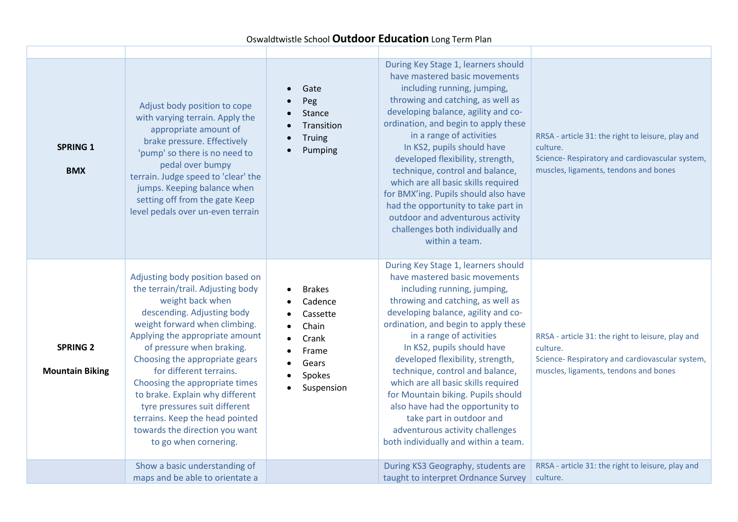## Oswaldtwistle School **Outdoor Education** Long Term Plan

| <b>SPRING 1</b><br><b>BMX</b>             | Adjust body position to cope<br>with varying terrain. Apply the<br>appropriate amount of<br>brake pressure. Effectively<br>'pump' so there is no need to<br>pedal over bumpy<br>terrain. Judge speed to 'clear' the<br>jumps. Keeping balance when<br>setting off from the gate Keep<br>level pedals over un-even terrain                                                                                                                                                                 | Gate<br>Peg<br>Stance<br>Transition<br>Truing<br>Pumping                                         | During Key Stage 1, learners should<br>have mastered basic movements<br>including running, jumping,<br>throwing and catching, as well as<br>developing balance, agility and co-<br>ordination, and begin to apply these<br>in a range of activities<br>In KS2, pupils should have<br>developed flexibility, strength,<br>technique, control and balance,<br>which are all basic skills required<br>for BMX'ing. Pupils should also have<br>had the opportunity to take part in<br>outdoor and adventurous activity<br>challenges both individually and<br>within a team.         | RRSA - article 31: the right to leisure, play and<br>culture.<br>Science- Respiratory and cardiovascular system,<br>muscles, ligaments, tendons and bones |
|-------------------------------------------|-------------------------------------------------------------------------------------------------------------------------------------------------------------------------------------------------------------------------------------------------------------------------------------------------------------------------------------------------------------------------------------------------------------------------------------------------------------------------------------------|--------------------------------------------------------------------------------------------------|----------------------------------------------------------------------------------------------------------------------------------------------------------------------------------------------------------------------------------------------------------------------------------------------------------------------------------------------------------------------------------------------------------------------------------------------------------------------------------------------------------------------------------------------------------------------------------|-----------------------------------------------------------------------------------------------------------------------------------------------------------|
| <b>SPRING 2</b><br><b>Mountain Biking</b> | Adjusting body position based on<br>the terrain/trail. Adjusting body<br>weight back when<br>descending. Adjusting body<br>weight forward when climbing.<br>Applying the appropriate amount<br>of pressure when braking.<br>Choosing the appropriate gears<br>for different terrains.<br>Choosing the appropriate times<br>to brake. Explain why different<br>tyre pressures suit different<br>terrains. Keep the head pointed<br>towards the direction you want<br>to go when cornering. | <b>Brakes</b><br>Cadence<br>Cassette<br>Chain<br>Crank<br>Frame<br>Gears<br>Spokes<br>Suspension | During Key Stage 1, learners should<br>have mastered basic movements<br>including running, jumping,<br>throwing and catching, as well as<br>developing balance, agility and co-<br>ordination, and begin to apply these<br>in a range of activities<br>In KS2, pupils should have<br>developed flexibility, strength,<br>technique, control and balance,<br>which are all basic skills required<br>for Mountain biking. Pupils should<br>also have had the opportunity to<br>take part in outdoor and<br>adventurous activity challenges<br>both individually and within a team. | RRSA - article 31: the right to leisure, play and<br>culture.<br>Science- Respiratory and cardiovascular system,<br>muscles, ligaments, tendons and bones |
|                                           | Show a basic understanding of<br>maps and be able to orientate a                                                                                                                                                                                                                                                                                                                                                                                                                          |                                                                                                  | During KS3 Geography, students are<br>taught to interpret Ordnance Survey                                                                                                                                                                                                                                                                                                                                                                                                                                                                                                        | RRSA - article 31: the right to leisure, play and<br>culture.                                                                                             |